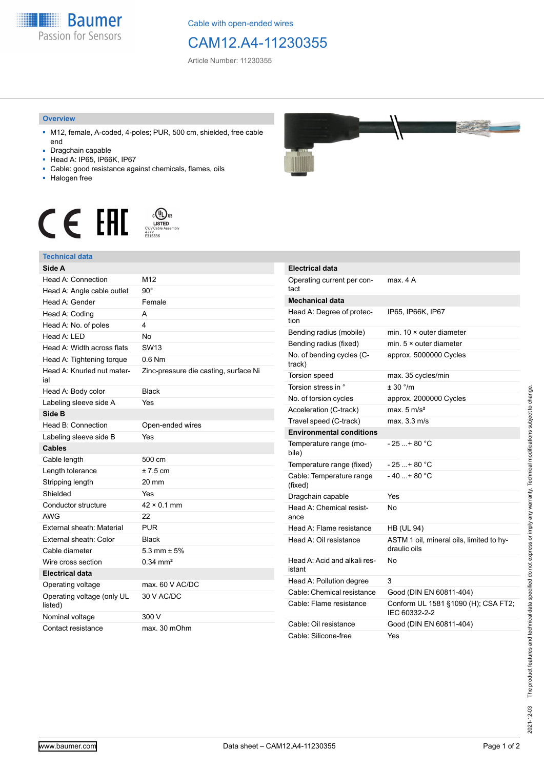

Cable with open-ended wires

## CAM12.A4-11230355

Article Number: 11230355

## **Overview**

- M12, female, A-coded, 4-poles; PUR, 500 cm, shielded, free cable end
- Dragchain capable
- Head A: IP65, IP66K, IP67
- Cable: good resistance against chemicals, flames, oils
- Halogen free



## **Technical data**

| Side A                                |                                       |
|---------------------------------------|---------------------------------------|
| Head A: Connection                    | M12                                   |
| Head A: Angle cable outlet            | $90^{\circ}$                          |
| Head A: Gender                        | Female                                |
| Head A: Coding                        | А                                     |
| Head A: No. of poles                  | 4                                     |
| Head A: LED                           | <b>No</b>                             |
| Head A: Width across flats            | <b>SW13</b>                           |
| Head A: Tightening torque             | $0.6$ Nm                              |
| Head A: Knurled nut mater-<br>ial     | Zinc-pressure die casting, surface Ni |
| Head A: Body color                    | <b>Black</b>                          |
| Labeling sleeve side A                | Yes                                   |
| Side B                                |                                       |
| Head B: Connection                    | Open-ended wires                      |
| Labeling sleeve side B                | Yes                                   |
| <b>Cables</b>                         |                                       |
| Cable length                          | 500 cm                                |
| Length tolerance                      | $± 7.5$ cm                            |
| Stripping length                      | 20 mm                                 |
| Shielded                              | Yes                                   |
| Conductor structure                   | $42 \times 0.1$ mm                    |
| AWG                                   | 22                                    |
| External sheath: Material             | <b>PUR</b>                            |
| External sheath: Color                | <b>Black</b>                          |
| Cable diameter                        | 5.3 mm $\pm$ 5%                       |
| Wire cross section                    | $0.34 \, \text{mm}^2$                 |
| <b>Electrical data</b>                |                                       |
| Operating voltage                     | max. 60 V AC/DC                       |
| Operating voltage (only UL<br>listed) | 30 V AC/DC                            |
| Nominal voltage                       | 300 V                                 |
| Contact resistance                    | max. 30 mOhm                          |



|  | <b>Electrical data</b>                 |                                                          |
|--|----------------------------------------|----------------------------------------------------------|
|  | Operating current per con-<br>tact     | max. 4 A                                                 |
|  | <b>Mechanical data</b>                 |                                                          |
|  | Head A: Degree of protec-<br>tion      | IP65, IP66K, IP67                                        |
|  | Bending radius (mobile)                | min. $10 \times$ outer diameter                          |
|  | Bending radius (fixed)                 | min. $5 \times$ outer diameter                           |
|  | No. of bending cycles (C-<br>track)    | approx. 5000000 Cycles                                   |
|  | Torsion speed                          | max. 35 cycles/min                                       |
|  | Torsion stress in °                    | ± 30 °/m                                                 |
|  | No. of torsion cycles                  | approx. 2000000 Cycles                                   |
|  | Acceleration (C-track)                 | max. $5 \text{ m/s}^2$                                   |
|  | Travel speed (C-track)                 | max. 3.3 m/s                                             |
|  | <b>Environmental conditions</b>        |                                                          |
|  | Temperature range (mo-<br>bile)        | - 25 + 80 °C                                             |
|  | Temperature range (fixed)              | $-25+80 °C$                                              |
|  | Cable: Temperature range<br>(fixed)    | $-40+80 °C$                                              |
|  | Dragchain capable                      | Yes                                                      |
|  | Head A: Chemical resist-<br>ance       | No                                                       |
|  | Head A: Flame resistance               | <b>HB (UL 94)</b>                                        |
|  | Head A: Oil resistance                 | ASTM 1 oil, mineral oils, limited to hy-<br>draulic oils |
|  | Head A: Acid and alkali res-<br>istant | No                                                       |
|  | Head A: Pollution degree               | 3                                                        |
|  | Cable: Chemical resistance             | Good (DIN EN 60811-404)                                  |
|  | Cable: Flame resistance                | Conform UL 1581 §1090 (H); CSA FT2;<br>IEC 60332-2-2     |
|  | Cable: Oil resistance                  | Good (DIN EN 60811-404)                                  |
|  | Cable: Silicone-free                   | Yes                                                      |